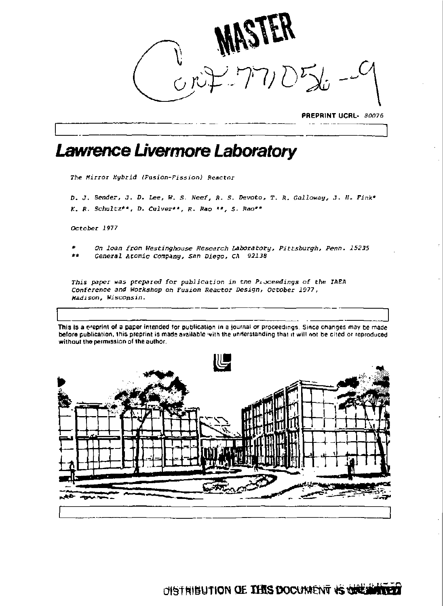

**PREPRINT UCRL-** *80076* 

# *Lawrence Livermore Laboratory*

*The Hirroz Hybrid {Fusion-Fission) Reactor* 

*D. J. Bender,* J. *D. Lee, W. S. Ncef,* ft. *s. Devoto, T. R. Calloway,* .7. *IS. Fink" K.* ft. *Schultz\*\*, D. Culver\*\*,* ft. *Rao \*\*, S- Raa\*\** 

*October 1977* 

- *\* On loan from Westinghouse Research Laboratory, Pittsburgh, Perm. 15235*
- *\*\* General Atomic Company, Snn Diego, CA 92138*

*This paper was prepared for publication in* trie *Proceedings of the IAEA Conference and Workshop on Fusion Reactor Design, October 1077, Msdison, Wisconsin.* 

**La Zion a of the set of a paper intended** for publication in a journal or proceedings. Since changes may be made **before publication, inis** preprint **is made available** 'vith the understanding that it will not be cited or reproduced **without the permission of the author.** 

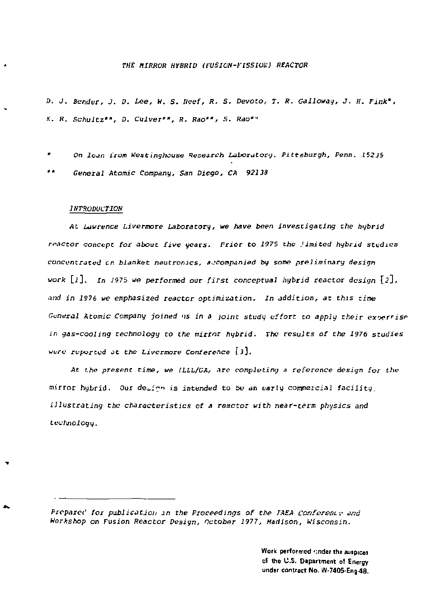# *THE MIRROR HYBRID (FUSION-FISSIVU) REACTOR*

*D. J. Bender, J. 0. Use, W. S. Reef, R. S. Devoto, T. R. Galloway, J. H. Fink', K. R. Schultz", D. Culver\*\*, R. Rao"*, *S. Rao\*"* 

*\* On loan from Westinghouse leseareh Laboratory, Pittsburgh, Penn. 15235* 

*" General Atomic Company, San Diego, CA 92138* 

#### *INTRODUCTION*

٠

۰

*At Lawrence Livermore Laboratory, we have been investigating Che hybrid reactor concept for about five years. Prior to 1975 the Jimited hybrid studies concentrated en blanket neutromes, accompanied by some preliminary design work* [j], *in 1975 we performed* our *first* conceptual *hybrid reactor design* [2], *•\*ud* in *1S76 we emphasized reactor optimization. In addition, at this rime General Atomic Company joined* 'is *in a joint study effort to apply their exoerrise in gas-cooling technology to the mirror hybrid. The results of the 1976 studies were reported at the Livermore Conference \ 3J.* 

*At the present time, we (LLL/CA, arc completing a reference design for the mirror hybrid. Our de^.i?" is intended to be an early commercial facility, illustrating the characteristics of a reactor with near-term physics and technology.* 

*Prcparei' for publication m the Proceedings of the IAEA cojifez&nt-v and Workshop on Fusion Reactor Design, October 1977, Madison, Wisconsin.* 

> Work performed rinder the auspices of tho U.S. Department of Energy *under* contract No. W-7405-Eng-48.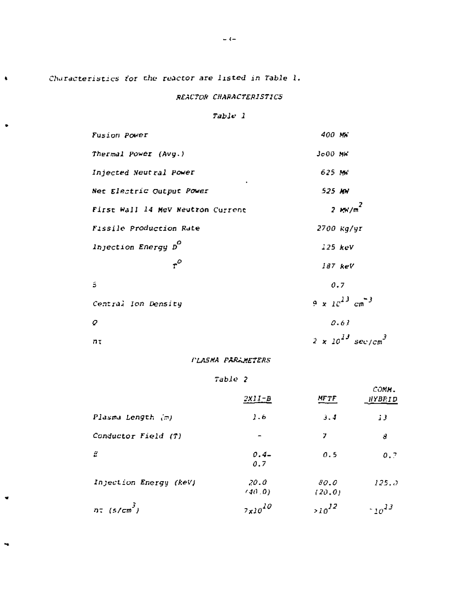Characteristics for the reactor are listed in Table 1.

 $\bullet$ 

 $\ddot{\phantom{1}}$ 

 $\bullet$ 

 $\tilde{\phantom{a}}$ 

# **REACTOR CHARACTERISTICS**

# Table 1

| <b>Fusion Power</b>               | 400 MW                                 |
|-----------------------------------|----------------------------------------|
| Thermal Power (Avg.)              | $J_000$ NK                             |
| Injected Neutral Power            | 625 MW                                 |
| Net Electric Output Power         | 525 MH                                 |
| First Wall 14 MeV Neutron Current | $2.1\%/\pi^2$                          |
| Fissile Production Rate           | 2700 Kg/yr                             |
| Injection Energy D                | 125~keV                                |
| $\cdot^{\circ}$                   | $187$ keV                              |
| В                                 | 0.7                                    |
| Central Ion Density               | 3 - ال <sup>ل</sup> ار و 4             |
| 9                                 | 0.63                                   |
| nτ                                | $2 \times 10^{13}$ sec/cm <sup>3</sup> |

# **PLASMA PARLMETERS**

# Table 2

|                             | .                  |                 |                          |
|-----------------------------|--------------------|-----------------|--------------------------|
|                             | $2x11 - B$         | <b>MFTF</b>     | COMM.<br><b>HYBRID</b>   |
| Plasma Length (m)           | 1.6                | 3.4             | 13                       |
| Conductor Field (T)         |                    | 7               | 8                        |
| 2                           | $0.4 -$<br>0.7     | 0.5             | 0.7                      |
| Injection Energy (keV)      | 20.0<br>(40, 0)    | 80.0<br>(20, 0) | 125.5                    |
| $n\pi$ (s/cm <sup>3</sup> ) | $7 \times 10^{10}$ | $>10^{12}$      | $\cdot$ 10 <sup>13</sup> |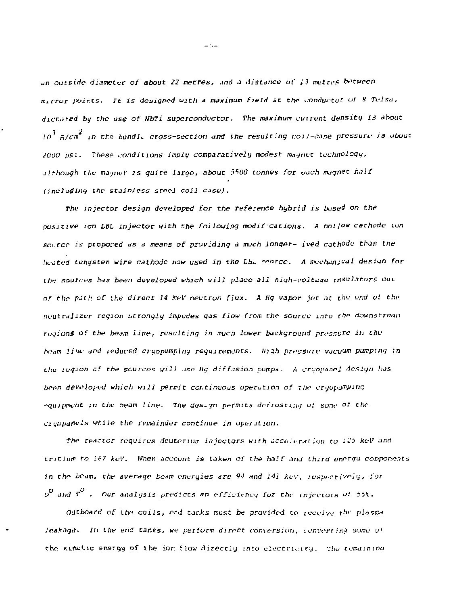*an outside* diameter *of about 22 metres, and a distance of 13 mutres between*   $m_4$ rror points. It is designed with a maximum field at the conductor of 8 Tulsa, *dictated by the use of NbTi superconductor- The maximum cm runt density i\* about*   $10^3$  A/cm<sup>2</sup> in the bundle cross-section and the resulting coil-case pressure is about *JOOO p5-. These conditions imply comparatively modest magnet technology, although the magnet is quire large, about 5500 tonnes for vach magnet half (including the stainless steel coil case).* 

*The injector design developed for the reference hybrid is based on th& positive ion LBL injector with the following modif cations. A hollow cathode ion source is proposed as a means of providing a much longer- ived cathode than the itcjted tungsten wire cathode now used in the Lbu ~\*"rce. A "K-chani^'al design for thi sources has been developed which will place all high-voltage insulators out of the path of the direct 14 NeV neutron flux. A Hg vapor jet at the end of the neutralizer region strongly impedes gas flow from the source into the downstream regions of the beam line, resulting in much lower background pressure in the hottiti li'io and reduced cryopumping requirements. Hi\$h pri-ssure vacuum pumping in the iuqion cf the source? will use lig diffusion pumps. A cr;;opanel design has heen d&veloped which will permit continuous operation of the cryopumping*  $\alpha$ <sub>Hipment</sub> in the heam line. The des<sub>-7</sub>n permits defrosting of some of the *ciyppaflels while the remainder continue in opeiat ion.* 

*The reactor requires deuterium injectors with acceleration to II5 keV and tritium to IS7 keV. When account is taken of the half and thud energu components in the hcam, the average beam energies are 94 and 141 keV. ivspi-rt ivrly, fo: D and T . Our analysis predicts an efficiency for tht- injectors* '•'•' *bbl.* 

*Otitboard of th^ coils, end tanks must be provided to icceivc thr* oJ«snn *leakage. In the end tanks, we perform direct conversion, converting some of the kin*wite energy of the ion flow directly into electricity. The icmaining

 $-1$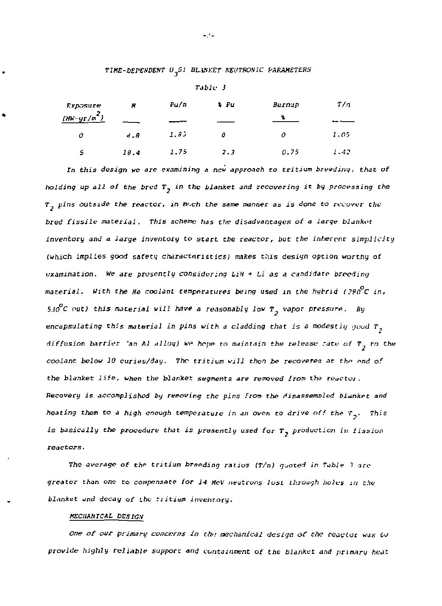*TIME-DEPENDENT U Si BL.WKET NEVTR0N1C PARAMETERS* 

| Exposure      | H    | Pu/n | % Pu | Burnup | T/a  |
|---------------|------|------|------|--------|------|
| $(MN-yr/m^2)$ |      |      |      |        |      |
| o             | d.8  | 1.85 | o    | 0      | 1.05 |
| 5             | 18.4 | 1.75 | 2.3  | 0.75   | 1.42 |

*Tabic J* 

*In this design we are examining a new approach to tritium breeding, that of holding up all of the bred T in the blanket and recovering* it *by processing the*   $\tau$ <sub>7</sub> pins outside the reactor, in m<sub>2</sub>.ch the same manner as is done to recover the *bred fissile material. This scheme has the disadvantages of a large blanket inventory and a large inventory to* ytart *the reactor, but the inherent simplicity (which implies good safety charactnristies) makes this design option worthy of examination. We are prosontly considerina LiH + Li as a candidate brooding*  material. With the He coolant temperatures being used in the hybrid (290<sup>0</sup>C in,  $5J0^{\circ}$ C *out*) this material will have a reasonably low  $T_{\alpha}$  vapor pressure. By encapsulating this material in pins with a cladding that is a modestly  $q_{\text{cool}}$   $\tau_q$ *diffusion barrier 'an Al alloy)* we hope to maintain the release rate of  $T_p$  to the *coolant below 10 curies/day. The tritium will then be recovered at the end of the blanket life, when the blanket segments are removed from the reactoi. Recovery is accomplished by removing the pins from the disassembled blanket and heating them to a high enough temperature in an oven to drive off th& T . This is basically the procedure that is presently used for* T, production *in fission reactors.* 

The average of the tritium breeding ratios (T/n) quoted in Tabie *?* are *greater than one to compensate for 14 McV neutrons lost through holes in the blanket iind decay of* the *Tiitium inventory.* 

#### *MECHANICAL DESIGN*

One of our primary concerns in the mechanical design of the reactor was to provide highly reliable support and containment of the blanket and primary heat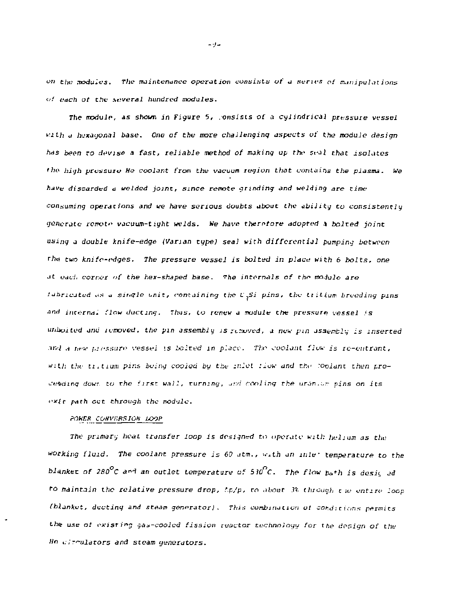*on the modules. The maintenance operation consists of a* series *of manipulations <••! each ot the several hundred modules.* 

*The module, \*s shown in Figure 5, .onsists of a cylindrical pressure vessel*  with a hexagonal base. One of the more challenging aspects of the module design *has been to devise a fast, reliable method of making up the seal that isolates 'ho high pressure He coolant from the vacuum region that contains the plasma. We have discarded a welded joint, since* remote *grinding and welding are rime consuming operations and we have serious doubts about the ability to consistent 1y 'jeneriitc remot- vacuum-t ight welds. We have therefore adopted* 3 *bolted joint using a double knife-edge (Varian type) seal with differential pumping between*  r/)n *two knife-edges. The pressure vessel is bolted in place with* 6 *holts, one*  at wach corner of the hex-shaped base. The internals of the module are *fabricated* as a single unit, containing the *L<sub>i</sub>Si pins, the tillium breeding pins nnd it\t,-;rna. flow ducting. Thus, to renew a module the pressure vessel • s uiiboited and icmoved. the* pin *assembly is rusioved, a new pin assembly is inserted • iii'l a !:'-\*• ]•: insure : r essei \s bolted in place. The coolant flow is re-entrant,*  with the tixtiam pins being cooled by the inlot flow and the coolant then pro*ceeding dowr. to the first wall, turning, [ur.fi](http://ur.fi) coolinq the* nrjr.-.- *pins on its exir path cut through the module.* 

# *POWER CONVERSION LOOP*

*The primary heat transfer loop is designed* tn *operate with helium as the working fluid. The coolant pressure is 60 .itm., w\*th an mle- temperature to the blanket of 2B0°C a^ an outlet temperature of* 5 *MPC. The flow pa\*h is desit jd to maintain the relative pressure drop, f.p/p, to ,ibout 3% thiomgh* t *ie entire loop*  (blanket, ducting and steam generator). This combination of Conditions permits the use of existing gas-cooled fission reactor technology for the design of the *He clrmlators and steam generators.* 

 $-9-$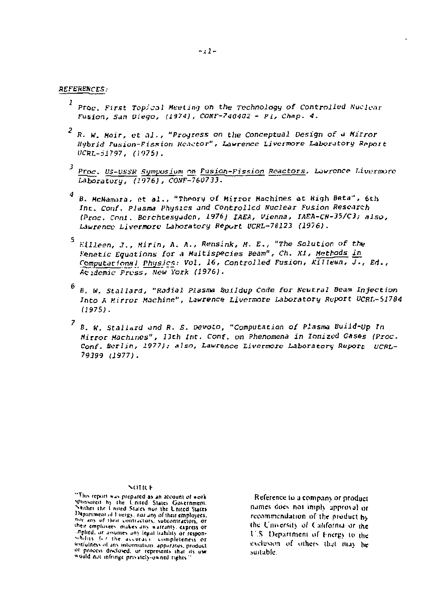#### **REFERENCES:**

- *Proc. First Topical Meeting* on the Technology of Controlled Nuclear Fusion, *S<tn Diego, (1974), CQ8F-?4Q4Q2 - PL, Chap. 4,*
- R- *W. Hair, et* a i . , *"Progress an* the *Conceptual Design of a Mirror Hybrid Fusion-Fission Hcictor", Lawrence Livermore Laboratory Report UCRL~D1797, (1975).*
- *Proc. US-V1SSK Symposium on Fusion-Fission Reactors, Lawrence l.ivermorc*  Laboratory, *(1976}, COHF-760733.*
- *B. HcNamira, et* ai. , *"Theory of Mirror Machines at High Beta", 6th*  inc . *Conf. plasma Physics and Controlled Nuclear Fusion Research (Proc. Cent. Bcrchtesyddcn, 1976} IAEA, Vienna, IAFA-CN-35/C3; also, Laurence* Liverwort' *Laboratory* Report *UCRL-78123 (1976).*
- *V-illeen, J., Hirin,* A. *A.,* Rensink, *M. E,, "The Solution of t.hv Fanatic Equations for A Huitispecies Beam", Ch. XI, Methods in Computational Physic\*: Vol. 16, Controlled Fusion, US ilean, J., E<i., AciAemic Press, New York (1976).*
- *8. w. Stallard, "Radial Plasma buildup Code for Neutral Beam Injection Into A y.irror Machine", Lawrence Livermore Laboratory Report UCRI.~\$1784 (1975).*
- *8. K. Stallard and* R. *S. oevoio, "Computation of Plasma Uuild-Up Tn Mirror Machines", 13th Int. Conf. on Phenomena in Ionized Gases (Proc.* Conf. Berlin, 1977); also, Lawrence Livermore Laboratory Report UCRL-*79399 (1977).*

#### NOTICE

Reference to a company or product names does not imply approval or recommendation of the product by the University of California or the U.S. Department of Fnergy to the exclusion of others that may be suitable.

<sup>&</sup>quot;This report was prepared" as an account of work<br>"Phosareat by the United States Government,"<br>"Nather the United States wor the United States Department of Linetys, nor any of their employees. not any of their contractors, subcontractors, or their employees makes any warranty express or inplied, or assumes any legisl liability or responassigness of any information, apparatus, product of process disclosed, or represents that its use would not infringe privately-owned rights."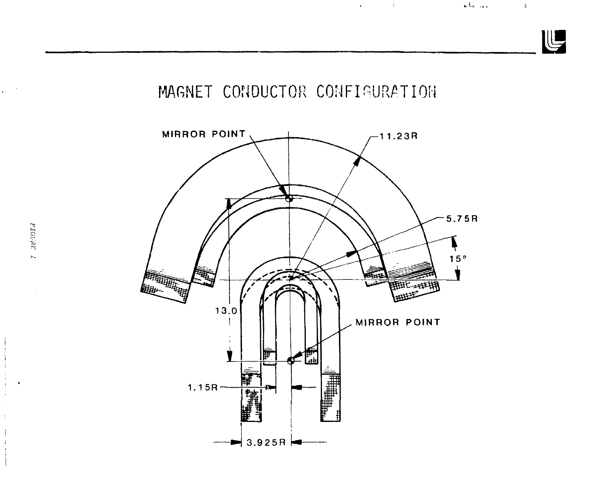



 $\mathcal{L}^{(1)}$  .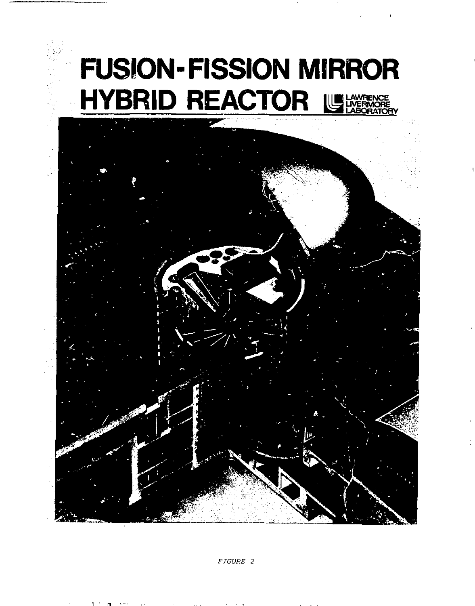# **FUSION-FISSION MIRROR HYBRID REACTOR USESSED**

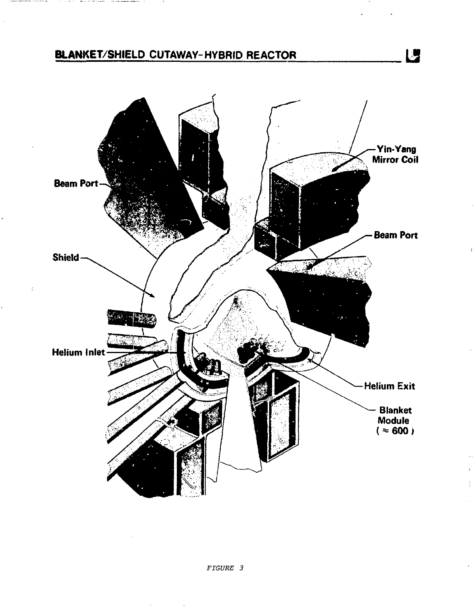# **BLANKET/SHIELD CUTAWAY-HYBRID REACTOR**

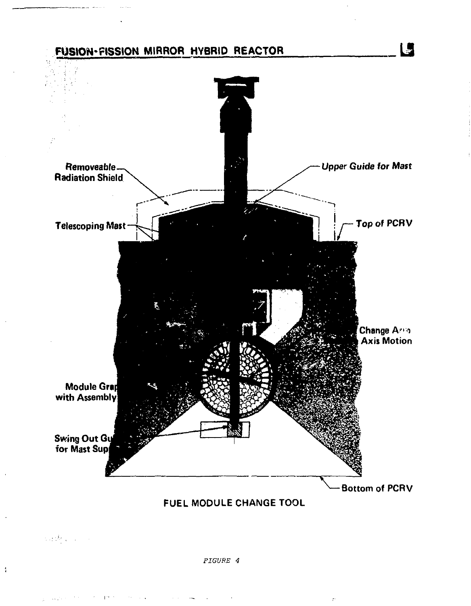

*FIGURE 4* 

 $\sim$   $\sim$ 

 $\frac{1}{3}$ 

 $\mathbb{P}^{1,1}$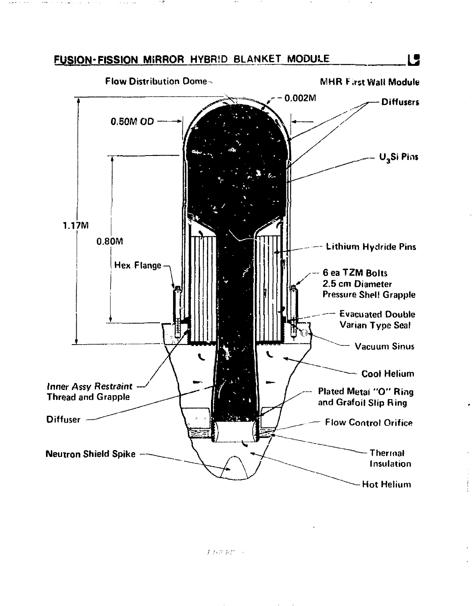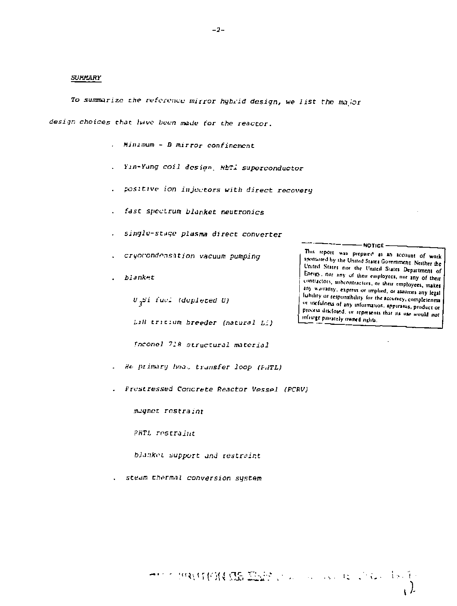# **SUMMARY**

To summarize the reference mirror hybrid design, we list the major

design choices that have been made for the reactor.

- . Minimum B mirror confinement
- . Yin-Yung coil design, MbTl superconductor
- . positive ion injectors with direct recovery
- . fast spectrum blanket neutronics
- . single-stage plasma direct converter
- . cryorondensation vacuum pumping
- . blanket

U.Si fuel (depleted U)

LiH tritium breeder (natural Li)

fnconel 718 structural material

- . He primary heat transfer loop (FHTL)
- Prestressed Concrete Reactor Vessel (PCRV)

mugnet restraint

**PHTL** restraint

blanket support and restraint

steam thermal conversion system

→http://www.com/source/com/source/1990.html

 $-2-$ 

 $-$ NOTICE $-$ 

This report was prepaire as an account of work sponsored by the United States Government. Neither the United States nor the United States Department of Energy, nor any of their employees, nor any of their contractors, subcontractors, or their employees, makes any warranty, express or implied, or staumes any legal liability or responsibility for the security, completeness or usefulness of any information, apparatus, product or process disclosed, or represents that its use would not infringe paralely owned aglits.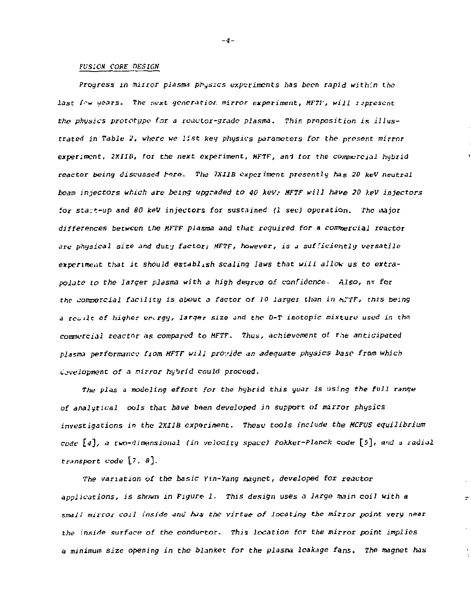## *FUSIQN COPE DESIGN*

*Progress in minor plasm\* physics experiments has been rapid within the*  last fow wears. The next generatior mirror experiment, MFTF, will represent *the physics prototype for a reactor-grade plasma. This proposition is illustrated in Table £, where we list key physics parameters for the* present mirror experiment, *2XIIB, for the next experiment, HFTF,* and for the *comjne-reictl hybrid*  reactor being discussed *fere. The 2XIIB experiment presently has 20 keV neutral beam injectors which are being upgraded to 40 kev; MFTF will have 20 keV injectors*  for *sta.t-up and 80 keV* injectors for *sustained (1 sec} operation. The* major *differences between the MFTF plasma and that required for a conmercial reactor are physical size and duty factor;* MFTF, however, is *a sufficiently versatile experiment that it should establish scaling laws that will allow us to extrapolate to the larger plasma with* a *high dtsgrvo of confidence . Also, nr for the commercial facility is about a factor* of *10 larger than in hPTFi this being a* re-iit *of higher enrgy, larger size and the* D-T *isotopic mixture used* in *the commercial* reactor *its compared to MFTF. Thus, achievement ot* r,ie anticipated *plasma performance fiom MFTF will provide* M *adequate physics base from which envelopment of a nirror hybrid could proceed.* 

*The pl&s* a *inodcling effort for the hybrid this year is using the full range of analytical ools that have bden developed in support of mirror physics investigations in the 2XI1B experiment. These tools include the MCFUS equilibrium code* E^J, *a two-dimensional (in velocity space) Fokker-Planck code* [5], aid a radial *transport code* [7, 8].

*The* variation of the *basic Yin-Yang magnet, developed for reactor applications, is shown in Figure* i. This *design uses* a *large main coil with a small mirror coil inside and has the virtue of locating the mirror point very near the inside surface of the* conductor. This *location* for the *mirror point implies*  a *minimum size opening in the blanket for the plasma leakage fans. The magnet has* 

÷

*-4-*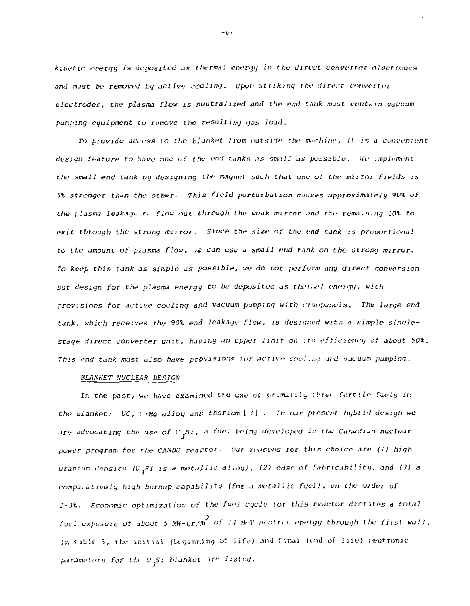*kinetic energy is deposited as thermal energy in the direct converter electroaes and must be removed bg active .-poling. Upon striking the direct converter*   $electrodes$ , the plasma flow is neutralized and the end tank must contain vacuum *purping equipment to fumove the resulting das load.* 

To provide access to the blanket from outside the machine, it is a convenient *design feature to* hji-o on-: o / r.ic fnri *tunkr,* .is cm.! J.' J J ^ws-il^y . hV *implement*  the small end tank by designing the magnet such that one of the mirror fields is *5% stronger than the other. This field pertuibalion causer, Approximately 90% of the* p.'dsmj *leakage* r.. *flow out through the weak* mirror *.ind the rcma, rung 101 to exit through the strong mirror. Since the size of the end tank is proportional to the amouni of plasma flow,* .-«• *can use a small end tank on the strong mirror. To keep this tank as simple as possible, we do not perform any direct conversion but design for the plasma energy to be dopositud as thereal energy, with provisions for active coaling and vacuum pumping with ft impanel:t. The large end tank, which receives the 90% end leakage flow, is designed witl; a simple singlestage direct converter unit, having an upper limir on :r>; efficiency of about 50%. This end tank must also have pr/>vi s ions for Active* CT.!.'.'..'i.; *.md vacuum pump inn.* 

## *BLANKET NUCLEAR DESTGK*

*In the past, we have examined the use ol pr:mar:\xi three fertile fuels in the blanket.- UC, f-Mo allog anil thorium [* J J . m our *present hgbrid design we are advocating the use of I' Si , a fuel being developed in the Canadian nuclear power program for rhe CANDU reactor, oui reasons lor this choice are (1) high uranium-density (V<sub>2</sub>Si is a metallic aling)*, (2) ease of fahricahility, and (3) a *comparatively high bumup capability (for a metallic fuel), on the order of J-n. Economic optimization of the fuel cycle toi thin reactor dirmres a total fuel exposure of about 5 MW-ur/m<sup>2</sup> of l4 WeV nestics eneigy through the first wall.* In table 3, the initial (Leginning of life) and final (end of life) neutronic  $parameters$  for the  $y$ <sub>2</sub>Si blanket are listed.

 $\sim$  0.00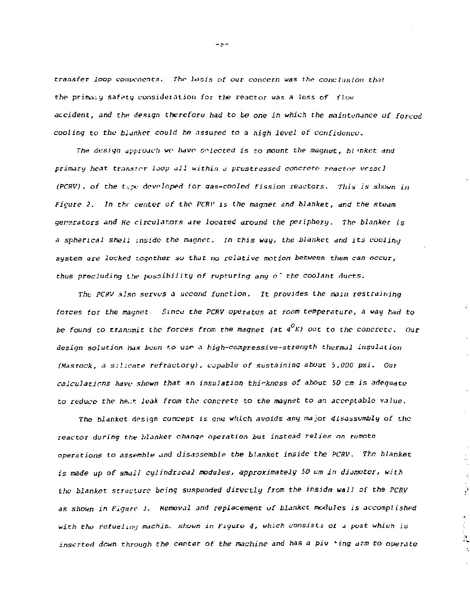*transfer loop* comw/icnts. *The Ixicis of our concern was the* conclusion *that the primary safety consideration for tlie reactor was a loss of flow*  accident, and the design therefore had to be one in which the maintenance of forced *cooling to the blanket could ho assured to a high level of confidence.* 

The design approach we have selected is to mount the magnet, blanket and *primary heat transfer loop all within a prastressed concrete- reactor vessel (PCRV) , of the t'.pe developed tor qas-cooled fission realtors. Thin is* shown *in Ficare 2. In the center of the PCRV is the magnet and blanket, and the steam gererators and He circulators are located around the periphery. The blanker is a spherical shell inside the magnet. In this way, the blanket and its cooling system are locked together so that no relative motion between* them *can occur, thus precluding the poszibili*ty *of rupturing any o~ the coolant ducts.* 

*The PCRV also serves a second function. It provides the mam restraining*  forces for the magnet. Since the PCRV operates at room temperature, a way had to *be found to transmit the forces from the magnet (at 4 K) out to the concrete. Our design solution has been to use- a high-cempressive-strength thermal insulation (Masrock, a silicate refractory), capable of sustaining shout* i*,000 psi. Out calculations have shown that an insulation thickness of about* 50 *cm is adequate to reduce the he..t leak from the concrete* to *the magnet to an acceptable value.* 

*The blanket design concept is one which avoids any major disassembly of the reactor during the blanker change operation but instead relies on remote operations to assemble and disassemble the blanket inside the PCRV. The hlanket is made up of small cylindrical modules, approximately 50 cm In diameter, with the blanket structure being suspended directly from the in&idn wall of the PCRV as shown in Figure 3. Removal and replacement of blanket modules* is *accompl ished with the refuelimj machin. shown in Figure 4, which consists ot a* post *which is*  inserted down through the center of the machine and has a piv 'ing arm to operate

ÿ

 $\frac{1}{2}$ 

 $-5 -$